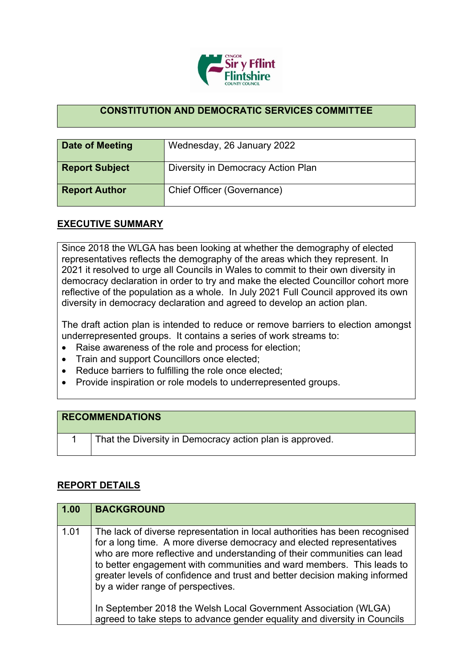

## **CONSTITUTION AND DEMOCRATIC SERVICES COMMITTEE**

| Date of Meeting       | Wednesday, 26 January 2022         |
|-----------------------|------------------------------------|
| <b>Report Subject</b> | Diversity in Democracy Action Plan |
| <b>Report Author</b>  | Chief Officer (Governance)         |

## **EXECUTIVE SUMMARY**

Since 2018 the WLGA has been looking at whether the demography of elected representatives reflects the demography of the areas which they represent. In 2021 it resolved to urge all Councils in Wales to commit to their own diversity in democracy declaration in order to try and make the elected Councillor cohort more reflective of the population as a whole. In July 2021 Full Council approved its own diversity in democracy declaration and agreed to develop an action plan.

The draft action plan is intended to reduce or remove barriers to election amongst underrepresented groups. It contains a series of work streams to:

- Raise awareness of the role and process for election;
- Train and support Councillors once elected;
- Reduce barriers to fulfilling the role once elected;
- Provide inspiration or role models to underrepresented groups.

## **RECOMMENDATIONS**

1 That the Diversity in Democracy action plan is approved.

## **REPORT DETAILS**

| 1.00 | <b>BACKGROUND</b>                                                                                                                                                                                                                                                                                                                                                                                                           |
|------|-----------------------------------------------------------------------------------------------------------------------------------------------------------------------------------------------------------------------------------------------------------------------------------------------------------------------------------------------------------------------------------------------------------------------------|
| 1.01 | The lack of diverse representation in local authorities has been recognised<br>for a long time. A more diverse democracy and elected representatives<br>who are more reflective and understanding of their communities can lead<br>to better engagement with communities and ward members. This leads to<br>greater levels of confidence and trust and better decision making informed<br>by a wider range of perspectives. |
|      | In September 2018 the Welsh Local Government Association (WLGA)<br>agreed to take steps to advance gender equality and diversity in Councils                                                                                                                                                                                                                                                                                |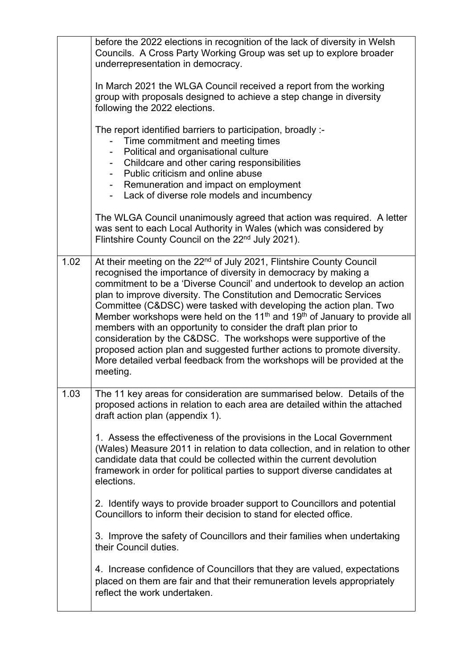|      | before the 2022 elections in recognition of the lack of diversity in Welsh<br>Councils. A Cross Party Working Group was set up to explore broader<br>underrepresentation in democracy.<br>In March 2021 the WLGA Council received a report from the working<br>group with proposals designed to achieve a step change in diversity<br>following the 2022 elections.<br>The report identified barriers to participation, broadly :-<br>Time commitment and meeting times<br>Political and organisational culture<br>Childcare and other caring responsibilities<br>Public criticism and online abuse<br>Remuneration and impact on employment<br>Lack of diverse role models and incumbency<br>The WLGA Council unanimously agreed that action was required. A letter                        |
|------|---------------------------------------------------------------------------------------------------------------------------------------------------------------------------------------------------------------------------------------------------------------------------------------------------------------------------------------------------------------------------------------------------------------------------------------------------------------------------------------------------------------------------------------------------------------------------------------------------------------------------------------------------------------------------------------------------------------------------------------------------------------------------------------------|
|      | was sent to each Local Authority in Wales (which was considered by<br>Flintshire County Council on the 22 <sup>nd</sup> July 2021).                                                                                                                                                                                                                                                                                                                                                                                                                                                                                                                                                                                                                                                         |
| 1.02 | At their meeting on the 22 <sup>nd</sup> of July 2021, Flintshire County Council<br>recognised the importance of diversity in democracy by making a<br>commitment to be a 'Diverse Council' and undertook to develop an action<br>plan to improve diversity. The Constitution and Democratic Services<br>Committee (C&DSC) were tasked with developing the action plan. Two<br>Member workshops were held on the 11 <sup>th</sup> and 19 <sup>th</sup> of January to provide all<br>members with an opportunity to consider the draft plan prior to<br>consideration by the C&DSC. The workshops were supportive of the<br>proposed action plan and suggested further actions to promote diversity.<br>More detailed verbal feedback from the workshops will be provided at the<br>meeting. |
| 1.03 | The 11 key areas for consideration are summarised below. Details of the<br>proposed actions in relation to each area are detailed within the attached<br>draft action plan (appendix 1).<br>1. Assess the effectiveness of the provisions in the Local Government<br>(Wales) Measure 2011 in relation to data collection, and in relation to other<br>candidate data that could be collected within the current devolution<br>framework in order for political parties to support diverse candidates at<br>elections.<br>2. Identify ways to provide broader support to Councillors and potential<br>Councillors to inform their decision to stand for elected office.                                                                                                                      |
|      | 3. Improve the safety of Councillors and their families when undertaking<br>their Council duties.<br>4. Increase confidence of Councillors that they are valued, expectations<br>placed on them are fair and that their remuneration levels appropriately<br>reflect the work undertaken.                                                                                                                                                                                                                                                                                                                                                                                                                                                                                                   |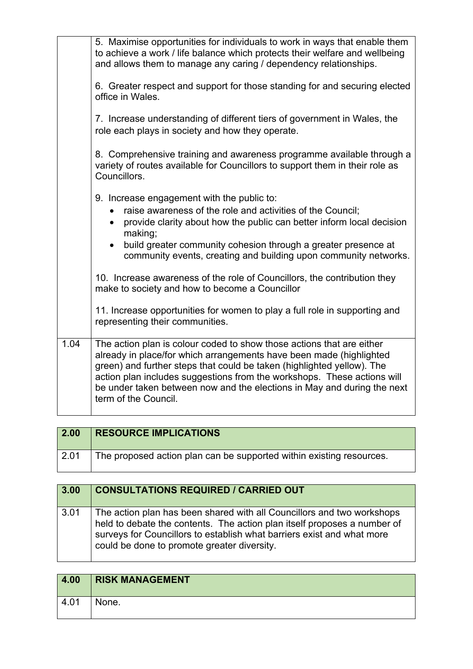| 5. Maximise opportunities for individuals to work in ways that enable them<br>to achieve a work / life balance which protects their welfare and wellbeing<br>and allows them to manage any caring / dependency relationships.                                                                                                                                                                        |
|------------------------------------------------------------------------------------------------------------------------------------------------------------------------------------------------------------------------------------------------------------------------------------------------------------------------------------------------------------------------------------------------------|
| 6. Greater respect and support for those standing for and securing elected<br>office in Wales.                                                                                                                                                                                                                                                                                                       |
| 7. Increase understanding of different tiers of government in Wales, the<br>role each plays in society and how they operate.                                                                                                                                                                                                                                                                         |
| 8. Comprehensive training and awareness programme available through a<br>variety of routes available for Councillors to support them in their role as<br>Councillors.                                                                                                                                                                                                                                |
| 9. Increase engagement with the public to:                                                                                                                                                                                                                                                                                                                                                           |
| raise awareness of the role and activities of the Council;                                                                                                                                                                                                                                                                                                                                           |
| provide clarity about how the public can better inform local decision<br>making;                                                                                                                                                                                                                                                                                                                     |
| build greater community cohesion through a greater presence at<br>community events, creating and building upon community networks.                                                                                                                                                                                                                                                                   |
| 10. Increase awareness of the role of Councillors, the contribution they<br>make to society and how to become a Councillor                                                                                                                                                                                                                                                                           |
| 11. Increase opportunities for women to play a full role in supporting and<br>representing their communities.                                                                                                                                                                                                                                                                                        |
| The action plan is colour coded to show those actions that are either<br>already in place/for which arrangements have been made (highlighted<br>green) and further steps that could be taken (highlighted yellow). The<br>action plan includes suggestions from the workshops. These actions will<br>be under taken between now and the elections in May and during the next<br>term of the Council. |
|                                                                                                                                                                                                                                                                                                                                                                                                      |

| 2.00 | <b>RESOURCE IMPLICATIONS</b>                                         |
|------|----------------------------------------------------------------------|
| 2.01 | The proposed action plan can be supported within existing resources. |

| 3.00 | <b>CONSULTATIONS REQUIRED / CARRIED OUT</b>                                                                                                                                                                                                                                 |
|------|-----------------------------------------------------------------------------------------------------------------------------------------------------------------------------------------------------------------------------------------------------------------------------|
| 3.01 | The action plan has been shared with all Councillors and two workshops<br>held to debate the contents. The action plan itself proposes a number of<br>surveys for Councillors to establish what barriers exist and what more<br>could be done to promote greater diversity. |

| 4.00 | <b>RISK MANAGEMENT</b> |
|------|------------------------|
| 4.01 | None.                  |